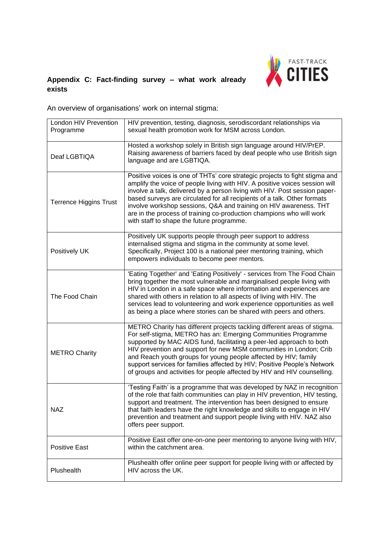

## **Appendix C: Fact-finding survey – what work already exists**

An overview of organisations' work on internal stigma:

| London HIV Prevention<br>Programme | HIV prevention, testing, diagnosis, serodiscordant relationships via<br>sexual health promotion work for MSM across London.                                                                                                                                                                                                                                                                                                                                                                                        |
|------------------------------------|--------------------------------------------------------------------------------------------------------------------------------------------------------------------------------------------------------------------------------------------------------------------------------------------------------------------------------------------------------------------------------------------------------------------------------------------------------------------------------------------------------------------|
| Deaf LGBTIQA                       | Hosted a workshop solely in British sign language around HIV/PrEP.<br>Raising awareness of barriers faced by deaf people who use British sign<br>language and are LGBTIQA.                                                                                                                                                                                                                                                                                                                                         |
| <b>Terrence Higgins Trust</b>      | Positive voices is one of THTs' core strategic projects to fight stigma and<br>amplify the voice of people living with HIV. A positive voices session will<br>involve a talk, delivered by a person living with HIV. Post session paper-<br>based surveys are circulated for all recipients of a talk. Other formats<br>involve workshop sessions, Q&A and training on HIV awareness. THT<br>are in the process of training co-production champions who will work<br>with staff to shape the future programme.     |
| Positively UK                      | Positively UK supports people through peer support to address<br>internalised stigma and stigma in the community at some level.<br>Specifically, Project 100 is a national peer mentoring training, which<br>empowers individuals to become peer mentors.                                                                                                                                                                                                                                                          |
| The Food Chain                     | 'Eating Together' and 'Eating Positively' - services from The Food Chain<br>bring together the most vulnerable and marginalised people living with<br>HIV in London in a safe space where information and experiences are<br>shared with others in relation to all aspects of living with HIV. The<br>services lead to volunteering and work experience opportunities as well<br>as being a place where stories can be shared with peers and others.                                                               |
| <b>METRO Charity</b>               | METRO Charity has different projects tackling different areas of stigma.<br>For self-stigma, METRO has an: Emerging Communities Programme<br>supported by MAC AIDS fund, facilitating a peer-led approach to both<br>HIV prevention and support for new MSM communities in London; Crib<br>and Reach youth groups for young people affected by HIV; family<br>support services for families affected by HIV; Positive People's Network<br>of groups and activities for people affected by HIV and HIV counselling. |
| <b>NAZ</b>                         | 'Testing Faith' is a programme that was developed by NAZ in recognition<br>of the role that faith communities can play in HIV prevention, HIV testing,<br>support and treatment. The intervention has been designed to ensure<br>that faith leaders have the right knowledge and skills to engage in HIV<br>prevention and treatment and support people living with HIV. NAZ also<br>offers peer support.                                                                                                          |
| <b>Positive East</b>               | Positive East offer one-on-one peer mentoring to anyone living with HIV,<br>within the catchment area.                                                                                                                                                                                                                                                                                                                                                                                                             |
| Plushealth                         | Plushealth offer online peer support for people living with or affected by<br>HIV across the UK.                                                                                                                                                                                                                                                                                                                                                                                                                   |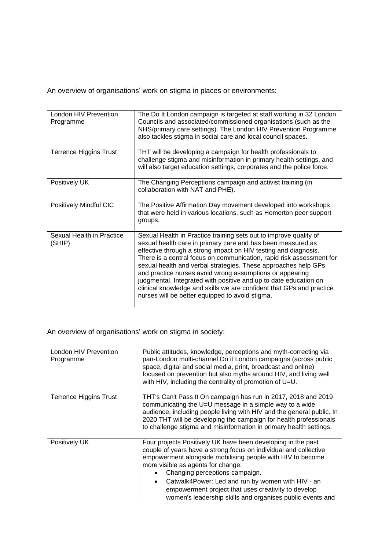An overview of organisations' work on stigma in places or environments:

| London HIV Prevention<br>Programme  | The Do It London campaign is targeted at staff working in 32 London<br>Councils and associated/commissioned organisations (such as the<br>NHS/primary care settings). The London HIV Prevention Programme<br>also tackles stigma in social care and local council spaces.                                                                                                                                                                                                                                                                                                                                |
|-------------------------------------|----------------------------------------------------------------------------------------------------------------------------------------------------------------------------------------------------------------------------------------------------------------------------------------------------------------------------------------------------------------------------------------------------------------------------------------------------------------------------------------------------------------------------------------------------------------------------------------------------------|
| <b>Terrence Higgins Trust</b>       | THT will be developing a campaign for health professionals to<br>challenge stigma and misinformation in primary health settings, and<br>will also target education settings, corporates and the police force.                                                                                                                                                                                                                                                                                                                                                                                            |
| Positively UK                       | The Changing Perceptions campaign and activist training (in<br>collaboration with NAT and PHE).                                                                                                                                                                                                                                                                                                                                                                                                                                                                                                          |
| Positively Mindful CIC              | The Positive Affirmation Day movement developed into workshops<br>that were held in various locations, such as Homerton peer support<br>groups.                                                                                                                                                                                                                                                                                                                                                                                                                                                          |
| Sexual Health in Practice<br>(SHIP) | Sexual Health in Practice training sets out to improve quality of<br>sexual health care in primary care and has been measured as<br>effective through a strong impact on HIV testing and diagnosis.<br>There is a central focus on communication, rapid risk assessment for<br>sexual health and verbal strategies. These approaches help GPs<br>and practice nurses avoid wrong assumptions or appearing<br>judgmental. Integrated with positive and up to date education on<br>clinical knowledge and skills we are confident that GPs and practice<br>nurses will be better equipped to avoid stigma. |

An overview of organisations' work on stigma in society:

| London HIV Prevention<br>Programme | Public attitudes, knowledge, perceptions and myth-correcting via<br>pan-London multi-channel Do it London campaigns (across public<br>space, digital and social media, print, broadcast and online)<br>focused on prevention but also myths around HIV, and living well<br>with HIV, including the centrality of promotion of U=U.                                                                                                                           |
|------------------------------------|--------------------------------------------------------------------------------------------------------------------------------------------------------------------------------------------------------------------------------------------------------------------------------------------------------------------------------------------------------------------------------------------------------------------------------------------------------------|
| Terrence Higgins Trust             | THT's Can't Pass It On campaign has run in 2017, 2018 and 2019<br>communicating the U=U message in a simple way to a wide<br>audience, including people living with HIV and the general public. In<br>2020 THT will be developing the campaign for health professionals<br>to challenge stigma and misinformation in primary health settings.                                                                                                                |
| Positively UK                      | Four projects Positively UK have been developing in the past<br>couple of years have a strong focus on individual and collective<br>empowerment alongside mobilising people with HIV to become<br>more visible as agents for change:<br>Changing perceptions campaign.<br>Catwalk4Power: Led and run by women with HIV - an<br>$\bullet$<br>empowerment project that uses creativity to develop<br>women's leadership skills and organises public events and |